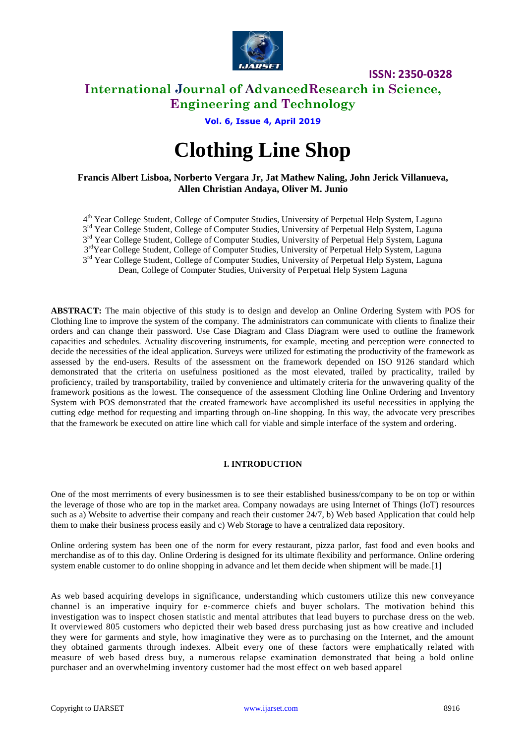

## **International Journal of AdvancedResearch in Science, Engineering and Technology**

## **Vol. 6, Issue 4, April 2019**

# **Clothing Line Shop**

## **Francis Albert Lisboa, Norberto Vergara Jr, Jat Mathew Naling, John Jerick Villanueva, Allen Christian Andaya, Oliver M. Junio**

4<sup>th</sup> Year College Student, College of Computer Studies, University of Perpetual Help System, Laguna 3<sup>rd</sup> Year College Student, College of Computer Studies, University of Perpetual Help System, Laguna 3<sup>rd</sup> Year College Student, College of Computer Studies, University of Perpetual Help System, Laguna 3<sup>rd</sup>Year College Student, College of Computer Studies, University of Perpetual Help System, Laguna 3<sup>rd</sup> Year College Student, College of Computer Studies, University of Perpetual Help System, Laguna Dean, College of Computer Studies, University of Perpetual Help System Laguna

**ABSTRACT:** The main objective of this study is to design and develop an Online Ordering System with POS for Clothing line to improve the system of the company. The administrators can communicate with clients to finalize their orders and can change their password. Use Case Diagram and Class Diagram were used to outline the framework capacities and schedules. Actuality discovering instruments, for example, meeting and perception were connected to decide the necessities of the ideal application. Surveys were utilized for estimating the productivity of the framework as assessed by the end-users. Results of the assessment on the framework depended on ISO 9126 standard which demonstrated that the criteria on usefulness positioned as the most elevated, trailed by practicality, trailed by proficiency, trailed by transportability, trailed by convenience and ultimately criteria for the unwavering quality of the framework positions as the lowest. The consequence of the assessment Clothing line Online Ordering and Inventory System with POS demonstrated that the created framework have accomplished its useful necessities in applying the cutting edge method for requesting and imparting through on-line shopping. In this way, the advocate very prescribes that the framework be executed on attire line which call for viable and simple interface of the system and ordering.

## **I. INTRODUCTION**

One of the most merriments of every businessmen is to see their established business/company to be on top or within the leverage of those who are top in the market area. Company nowadays are using Internet of Things (IoT) resources such as a) Website to advertise their company and reach their customer 24/7, b) Web based Application that could help them to make their business process easily and c) Web Storage to have a centralized data repository.

Online ordering system has been one of the norm for every restaurant, pizza parlor, fast food and even books and merchandise as of to this day. Online Ordering is designed for its ultimate flexibility and performance. Online ordering system enable customer to do online shopping in advance and let them decide when shipment will be made.[1]

As web based acquiring develops in significance, understanding which customers utilize this new conveyance channel is an imperative inquiry for e‐commerce chiefs and buyer scholars. The motivation behind this investigation was to inspect chosen statistic and mental attributes that lead buyers to purchase dress on the web. It overviewed 805 customers who depicted their web based dress purchasing just as how creative and included they were for garments and style, how imaginative they were as to purchasing on the Internet, and the amount they obtained garments through indexes. Albeit every one of these factors were emphatically related with measure of web based dress buy, a numerous relapse examination demonstrated that being a bold online purchaser and an overwhelming inventory customer had the most effect on web based apparel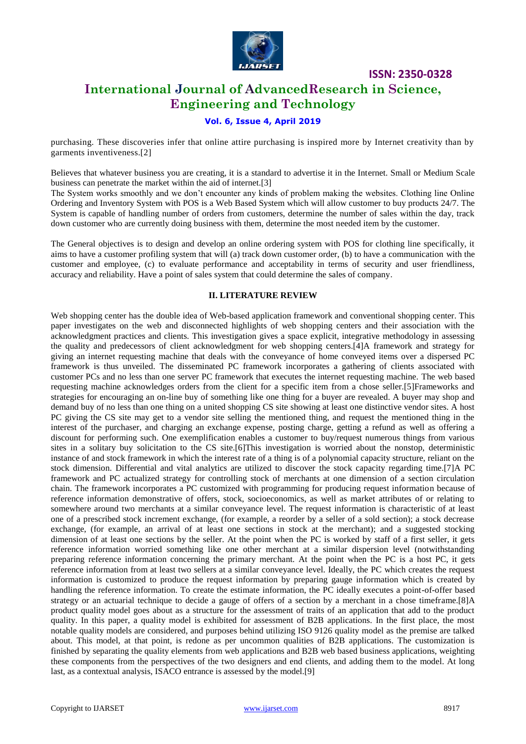

## **International Journal of AdvancedResearch in Science, Engineering and Technology**

## **Vol. 6, Issue 4, April 2019**

purchasing. These discoveries infer that online attire purchasing is inspired more by Internet creativity than by garments inventiveness.[2]

Believes that whatever business you are creating, it is a standard to advertise it in the Internet. Small or Medium Scale business can penetrate the market within the aid of internet.[3]

The System works smoothly and we don't encounter any kinds of problem making the websites. Clothing line Online Ordering and Inventory System with POS is a Web Based System which will allow customer to buy products 24/7. The System is capable of handling number of orders from customers, determine the number of sales within the day, track down customer who are currently doing business with them, determine the most needed item by the customer.

The General objectives is to design and develop an online ordering system with POS for clothing line specifically, it aims to have a customer profiling system that will (a) track down customer order, (b) to have a communication with the customer and employee, (c) to evaluate performance and acceptability in terms of security and user friendliness, accuracy and reliability. Have a point of sales system that could determine the sales of company.

#### **II. LITERATURE REVIEW**

Web shopping center has the double idea of Web-based application framework and conventional shopping center. This paper investigates on the web and disconnected highlights of web shopping centers and their association with the acknowledgment practices and clients. This investigation gives a space explicit, integrative methodology in assessing the quality and predecessors of client acknowledgment for web shopping centers.[4]A framework and strategy for giving an internet requesting machine that deals with the conveyance of home conveyed items over a dispersed PC framework is thus unveiled. The disseminated PC framework incorporates a gathering of clients associated with customer PCs and no less than one server PC framework that executes the internet requesting machine. The web based requesting machine acknowledges orders from the client for a specific item from a chose seller.[5]Frameworks and strategies for encouraging an on-line buy of something like one thing for a buyer are revealed. A buyer may shop and demand buy of no less than one thing on a united shopping CS site showing at least one distinctive vendor sites. A host PC giving the CS site may get to a vendor site selling the mentioned thing, and request the mentioned thing in the interest of the purchaser, and charging an exchange expense, posting charge, getting a refund as well as offering a discount for performing such. One exemplification enables a customer to buy/request numerous things from various sites in a solitary buy solicitation to the CS site.[6]This investigation is worried about the nonstop, deterministic instance of and stock framework in which the interest rate of a thing is of a polynomial capacity structure, reliant on the stock dimension. Differential and vital analytics are utilized to discover the stock capacity regarding time.[7]A PC framework and PC actualized strategy for controlling stock of merchants at one dimension of a section circulation chain. The framework incorporates a PC customized with programming for producing request information because of reference information demonstrative of offers, stock, socioeconomics, as well as market attributes of or relating to somewhere around two merchants at a similar conveyance level. The request information is characteristic of at least one of a prescribed stock increment exchange, (for example, a reorder by a seller of a sold section); a stock decrease exchange, (for example, an arrival of at least one sections in stock at the merchant); and a suggested stocking dimension of at least one sections by the seller. At the point when the PC is worked by staff of a first seller, it gets reference information worried something like one other merchant at a similar dispersion level (notwithstanding preparing reference information concerning the primary merchant. At the point when the PC is a host PC, it gets reference information from at least two sellers at a similar conveyance level. Ideally, the PC which creates the request information is customized to produce the request information by preparing gauge information which is created by handling the reference information. To create the estimate information, the PC ideally executes a point-of-offer based strategy or an actuarial technique to decide a gauge of offers of a section by a merchant in a chose timeframe.[8]A product quality model goes about as a structure for the assessment of traits of an application that add to the product quality. In this paper, a quality model is exhibited for assessment of B2B applications. In the first place, the most notable quality models are considered, and purposes behind utilizing ISO 9126 quality model as the premise are talked about. This model, at that point, is redone as per uncommon qualities of B2B applications. The customization is finished by separating the quality elements from web applications and B2B web based business applications, weighting these components from the perspectives of the two designers and end clients, and adding them to the model. At long last, as a contextual analysis, ISACO entrance is assessed by the model.[9]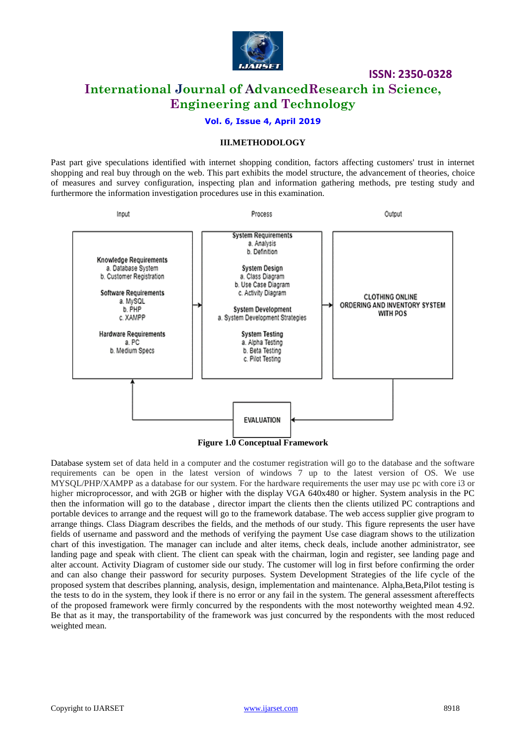

## **International Journal of AdvancedResearch in Science, Engineering and Technology**

## **Vol. 6, Issue 4, April 2019**

#### **III.METHODOLOGY**

Past part give speculations identified with internet shopping condition, factors affecting customers' trust in internet shopping and real buy through on the web. This part exhibits the model structure, the advancement of theories, choice of measures and survey configuration, inspecting plan and information gathering methods, pre testing study and furthermore the information investigation procedures use in this examination.



Database system set of data held in a computer and the costumer registration will go to the database and the software requirements can be open in the latest version of windows 7 up to the latest version of OS. We use MYSQL/PHP/XAMPP as a database for our system. For the hardware requirements the user may use pc with core i3 or higher microprocessor, and with 2GB or higher with the display VGA 640x480 or higher. System analysis in the PC then the information will go to the database , director impart the clients then the clients utilized PC contraptions and portable devices to arrange and the request will go to the framework database. The web access supplier give program to arrange things. Class Diagram describes the fields, and the methods of our study. This figure represents the user have fields of username and password and the methods of verifying the payment Use case diagram shows to the utilization chart of this investigation. The manager can include and alter items, check deals, include another administrator, see landing page and speak with client. The client can speak with the chairman, login and register, see landing page and alter account. Activity Diagram of customer side our study. The customer will log in first before confirming the order and can also change their password for security purposes. System Development Strategies of the life cycle of the proposed system that describes planning, analysis, design, implementation and maintenance. Alpha,Beta,Pilot testing is the tests to do in the system, they look if there is no error or any fail in the system. The general assessment aftereffects of the proposed framework were firmly concurred by the respondents with the most noteworthy weighted mean 4.92. Be that as it may, the transportability of the framework was just concurred by the respondents with the most reduced weighted mean.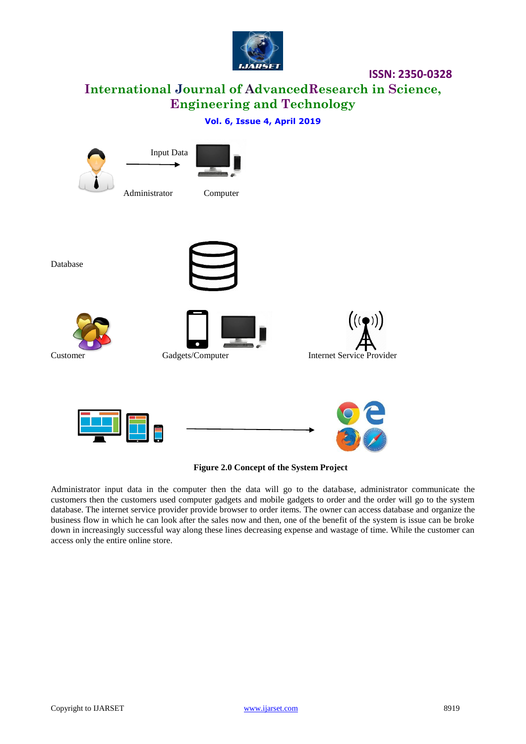

**International Journal of AdvancedResearch in Science, Engineering and Technology**

## **Vol. 6, Issue 4, April 2019**





Database









**Figure 2.0 Concept of the System Project**

Administrator input data in the computer then the data will go to the database, administrator communicate the customers then the customers used computer gadgets and mobile gadgets to order and the order will go to the system database. The internet service provider provide browser to order items. The owner can access database and organize the business flow in which he can look after the sales now and then, one of the benefit of the system is issue can be broke down in increasingly successful way along these lines decreasing expense and wastage of time. While the customer can access only the entire online store.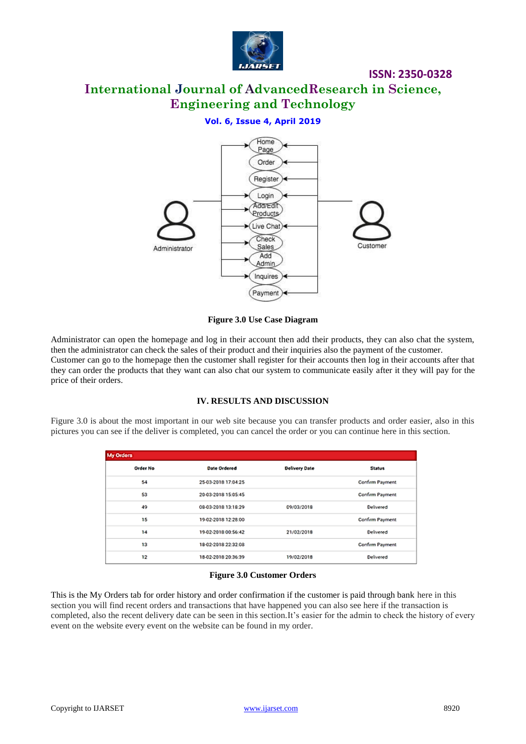

# **International Journal of AdvancedResearch in Science, Engineering and Technology**

## **Vol. 6, Issue 4, April 2019**



**Figure 3.0 Use Case Diagram**

Administrator can open the homepage and log in their account then add their products, they can also chat the system, then the administrator can check the sales of their product and their inquiries also the payment of the customer. Customer can go to the homepage then the customer shall register for their accounts then log in their accounts after that they can order the products that they want can also chat our system to communicate easily after it they will pay for the price of their orders.

## **IV. RESULTS AND DISCUSSION**

Figure 3.0 is about the most important in our web site because you can transfer products and order easier, also in this pictures you can see if the deliver is completed, you can cancel the order or you can continue here in this section.

| <b>My Orders</b> |                     |                      |                 |  |  |  |
|------------------|---------------------|----------------------|-----------------|--|--|--|
| <b>Order No</b>  | Date Ordered        | <b>Delivery Date</b> | Status          |  |  |  |
| 54               | 25-03-2018 17:04:25 |                      | Confirm Payment |  |  |  |
| 53               | 20-03-2018 15:05:45 |                      | Confirm Payment |  |  |  |
| 49               | 08-03-2018 13:18:29 | 09/03/2018           | Delivered       |  |  |  |
| 15               | 19-02-2018 12:28:00 |                      | Confirm Payment |  |  |  |
| 14               | 19-02-2018 00:56:42 | 21/02/2018           | Delivered       |  |  |  |
| 13               | 18-02-2018 22:32:08 |                      | Confirm Payment |  |  |  |
| 12               | 18-02-2018 20:36:39 | 19/02/2018           | Delivered       |  |  |  |

#### **Figure 3.0 Customer Orders**

This is the My Orders tab for order history and order confirmation if the customer is paid through bank here in this section you will find recent orders and transactions that have happened you can also see here if the transaction is completed, also the recent delivery date can be seen in this section.It's easier for the admin to check the history of every event on the website every event on the website can be found in my order.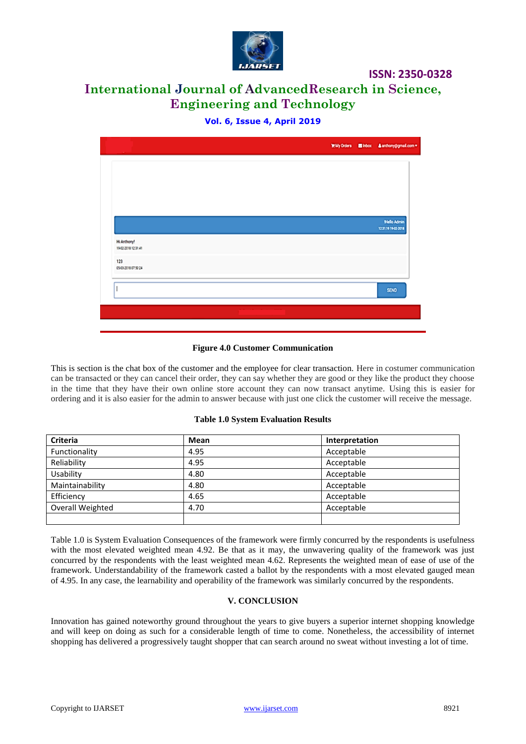

# **International Journal of AdvancedResearch in Science, Engineering and Technology**

**Vol. 6, Issue 4, April 2019**

|                                    |  | WMy Orders Elinbox & anthony@gmail.com =  |
|------------------------------------|--|-------------------------------------------|
|                                    |  |                                           |
|                                    |  |                                           |
|                                    |  |                                           |
|                                    |  |                                           |
|                                    |  | <b>Mello Admin</b><br>12:31:19 19:02:2018 |
| Hi Anthony!<br>19-02-2018 12:31:41 |  |                                           |
| 123<br>0503201807.5024             |  |                                           |
|                                    |  | <b>SEND</b>                               |
|                                    |  |                                           |
|                                    |  |                                           |

## **Figure 4.0 Customer Communication**

This is section is the chat box of the customer and the employee for clear transaction. Here in costumer communication can be transacted or they can cancel their order, they can say whether they are good or they like the product they choose in the time that they have their own online store account they can now transact anytime. Using this is easier for ordering and it is also easier for the admin to answer because with just one click the customer will receive the message.

#### **Table 1.0 System Evaluation Results**

| <b>Criteria</b>  | Mean | Interpretation |
|------------------|------|----------------|
| Functionality    | 4.95 | Acceptable     |
| Reliability      | 4.95 | Acceptable     |
| Usability        | 4.80 | Acceptable     |
| Maintainability  | 4.80 | Acceptable     |
| Efficiency       | 4.65 | Acceptable     |
| Overall Weighted | 4.70 | Acceptable     |
|                  |      |                |

Table 1.0 is System Evaluation Consequences of the framework were firmly concurred by the respondents is usefulness with the most elevated weighted mean 4.92. Be that as it may, the unwavering quality of the framework was just concurred by the respondents with the least weighted mean 4.62. Represents the weighted mean of ease of use of the framework. Understandability of the framework casted a ballot by the respondents with a most elevated gauged mean of 4.95. In any case, the learnability and operability of the framework was similarly concurred by the respondents.

#### **V. CONCLUSION**

Innovation has gained noteworthy ground throughout the years to give buyers a superior internet shopping knowledge and will keep on doing as such for a considerable length of time to come. Nonetheless, the accessibility of internet shopping has delivered a progressively taught shopper that can search around no sweat without investing a lot of time.